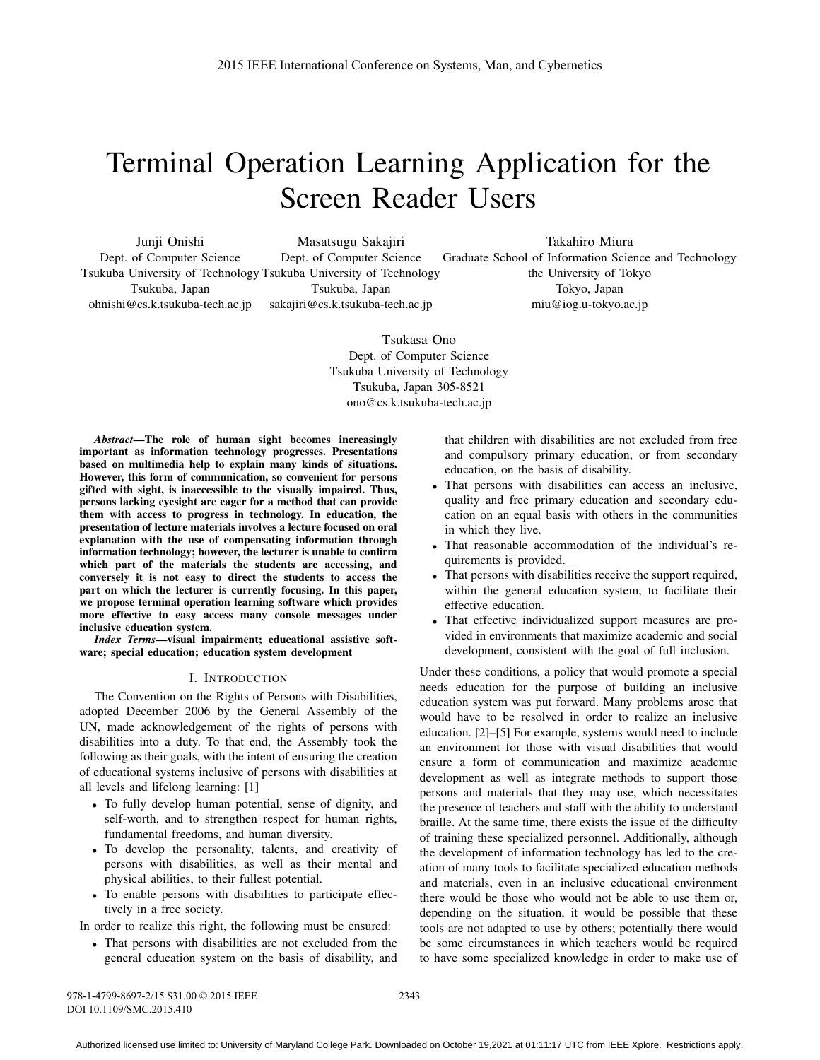# Terminal Operation Learning Application for the Screen Reader Users

Junji Onishi Dept. of Computer Science Tsukuba University of Technology Tsukuba University of Technology Tsukuba, Japan ohnishi@cs.k.tsukuba-tech.ac.jp

Masatsugu Sakajiri Dept. of Computer Science Tsukuba, Japan sakajiri@cs.k.tsukuba-tech.ac.jp

Takahiro Miura Graduate School of Information Science and Technology the University of Tokyo Tokyo, Japan miu@iog.u-tokyo.ac.jp

Tsukasa Ono Dept. of Computer Science Tsukuba University of Technology Tsukuba, Japan 305-8521 ono@cs.k.tsukuba-tech.ac.jp

*Abstract*—The role of human sight becomes increasingly important as information technology progresses. Presentations based on multimedia help to explain many kinds of situations. However, this form of communication, so convenient for persons gifted with sight, is inaccessible to the visually impaired. Thus, persons lacking eyesight are eager for a method that can provide them with access to progress in technology. In education, the presentation of lecture materials involves a lecture focused on oral explanation with the use of compensating information through information technology; however, the lecturer is unable to confirm which part of the materials the students are accessing, and conversely it is not easy to direct the students to access the part on which the lecturer is currently focusing. In this paper, we propose terminal operation learning software which provides more effective to easy access many console messages under inclusive education system.

*Index Terms*—visual impairment; educational assistive software; special education; education system development

# I. INTRODUCTION

The Convention on the Rights of Persons with Disabilities, adopted December 2006 by the General Assembly of the UN, made acknowledgement of the rights of persons with disabilities into a duty. To that end, the Assembly took the following as their goals, with the intent of ensuring the creation of educational systems inclusive of persons with disabilities at all levels and lifelong learning: [1]

- To fully develop human potential, sense of dignity, and self-worth, and to strengthen respect for human rights, fundamental freedoms, and human diversity.
- To develop the personality, talents, and creativity of persons with disabilities, as well as their mental and physical abilities, to their fullest potential.
- To enable persons with disabilities to participate effectively in a free society.

In order to realize this right, the following must be ensured:

• That persons with disabilities are not excluded from the general education system on the basis of disability, and

that children with disabilities are not excluded from free and compulsory primary education, or from secondary education, on the basis of disability.

- That persons with disabilities can access an inclusive, quality and free primary education and secondary education on an equal basis with others in the communities in which they live.
- That reasonable accommodation of the individual's requirements is provided.
- That persons with disabilities receive the support required, within the general education system, to facilitate their effective education.
- That effective individualized support measures are provided in environments that maximize academic and social development, consistent with the goal of full inclusion.

Under these conditions, a policy that would promote a special needs education for the purpose of building an inclusive education system was put forward. Many problems arose that would have to be resolved in order to realize an inclusive education. [2]–[5] For example, systems would need to include an environment for those with visual disabilities that would ensure a form of communication and maximize academic development as well as integrate methods to support those persons and materials that they may use, which necessitates the presence of teachers and staff with the ability to understand braille. At the same time, there exists the issue of the difficulty of training these specialized personnel. Additionally, although the development of information technology has led to the creation of many tools to facilitate specialized education methods and materials, even in an inclusive educational environment there would be those who would not be able to use them or, depending on the situation, it would be possible that these tools are not adapted to use by others; potentially there would be some circumstances in which teachers would be required to have some specialized knowledge in order to make use of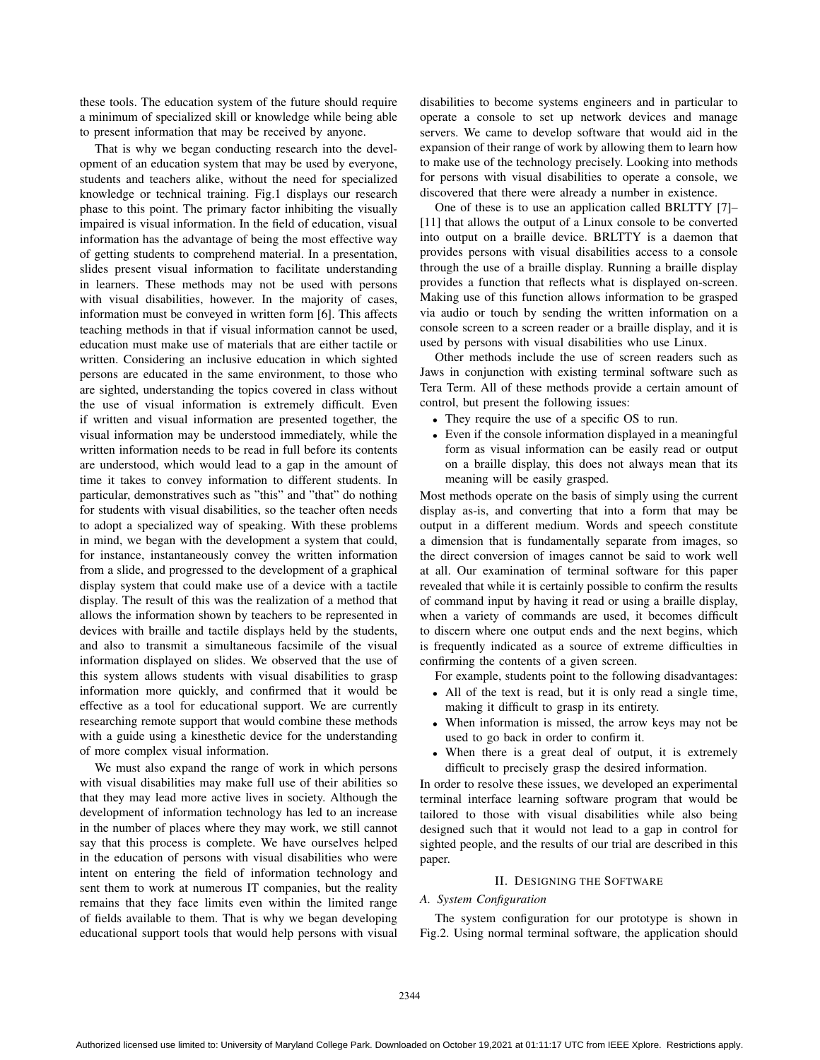these tools. The education system of the future should require a minimum of specialized skill or knowledge while being able to present information that may be received by anyone.

That is why we began conducting research into the development of an education system that may be used by everyone, students and teachers alike, without the need for specialized knowledge or technical training. Fig.1 displays our research phase to this point. The primary factor inhibiting the visually impaired is visual information. In the field of education, visual information has the advantage of being the most effective way of getting students to comprehend material. In a presentation, slides present visual information to facilitate understanding in learners. These methods may not be used with persons with visual disabilities, however. In the majority of cases, information must be conveyed in written form [6]. This affects teaching methods in that if visual information cannot be used, education must make use of materials that are either tactile or written. Considering an inclusive education in which sighted persons are educated in the same environment, to those who are sighted, understanding the topics covered in class without the use of visual information is extremely difficult. Even if written and visual information are presented together, the visual information may be understood immediately, while the written information needs to be read in full before its contents are understood, which would lead to a gap in the amount of time it takes to convey information to different students. In particular, demonstratives such as "this" and "that" do nothing for students with visual disabilities, so the teacher often needs to adopt a specialized way of speaking. With these problems in mind, we began with the development a system that could, for instance, instantaneously convey the written information from a slide, and progressed to the development of a graphical display system that could make use of a device with a tactile display. The result of this was the realization of a method that allows the information shown by teachers to be represented in devices with braille and tactile displays held by the students, and also to transmit a simultaneous facsimile of the visual information displayed on slides. We observed that the use of this system allows students with visual disabilities to grasp information more quickly, and confirmed that it would be effective as a tool for educational support. We are currently researching remote support that would combine these methods with a guide using a kinesthetic device for the understanding of more complex visual information.

We must also expand the range of work in which persons with visual disabilities may make full use of their abilities so that they may lead more active lives in society. Although the development of information technology has led to an increase in the number of places where they may work, we still cannot say that this process is complete. We have ourselves helped in the education of persons with visual disabilities who were intent on entering the field of information technology and sent them to work at numerous IT companies, but the reality remains that they face limits even within the limited range of fields available to them. That is why we began developing educational support tools that would help persons with visual

disabilities to become systems engineers and in particular to operate a console to set up network devices and manage servers. We came to develop software that would aid in the expansion of their range of work by allowing them to learn how to make use of the technology precisely. Looking into methods for persons with visual disabilities to operate a console, we discovered that there were already a number in existence.

One of these is to use an application called BRLTTY [7]– [11] that allows the output of a Linux console to be converted into output on a braille device. BRLTTY is a daemon that provides persons with visual disabilities access to a console through the use of a braille display. Running a braille display provides a function that reflects what is displayed on-screen. Making use of this function allows information to be grasped via audio or touch by sending the written information on a console screen to a screen reader or a braille display, and it is used by persons with visual disabilities who use Linux.

Other methods include the use of screen readers such as Jaws in conjunction with existing terminal software such as Tera Term. All of these methods provide a certain amount of control, but present the following issues:

- They require the use of a specific OS to run.
- Even if the console information displayed in a meaningful form as visual information can be easily read or output on a braille display, this does not always mean that its meaning will be easily grasped.

Most methods operate on the basis of simply using the current display as-is, and converting that into a form that may be output in a different medium. Words and speech constitute a dimension that is fundamentally separate from images, so the direct conversion of images cannot be said to work well at all. Our examination of terminal software for this paper revealed that while it is certainly possible to confirm the results of command input by having it read or using a braille display, when a variety of commands are used, it becomes difficult to discern where one output ends and the next begins, which is frequently indicated as a source of extreme difficulties in confirming the contents of a given screen.

For example, students point to the following disadvantages:

- All of the text is read, but it is only read a single time, making it difficult to grasp in its entirety.
- When information is missed, the arrow keys may not be used to go back in order to confirm it.
- When there is a great deal of output, it is extremely difficult to precisely grasp the desired information.

In order to resolve these issues, we developed an experimental terminal interface learning software program that would be tailored to those with visual disabilities while also being designed such that it would not lead to a gap in control for sighted people, and the results of our trial are described in this paper.

### II. DESIGNING THE SOFTWARE

*A. System Configuration* The system configuration for our prototype is shown in Fig.2. Using normal terminal software, the application should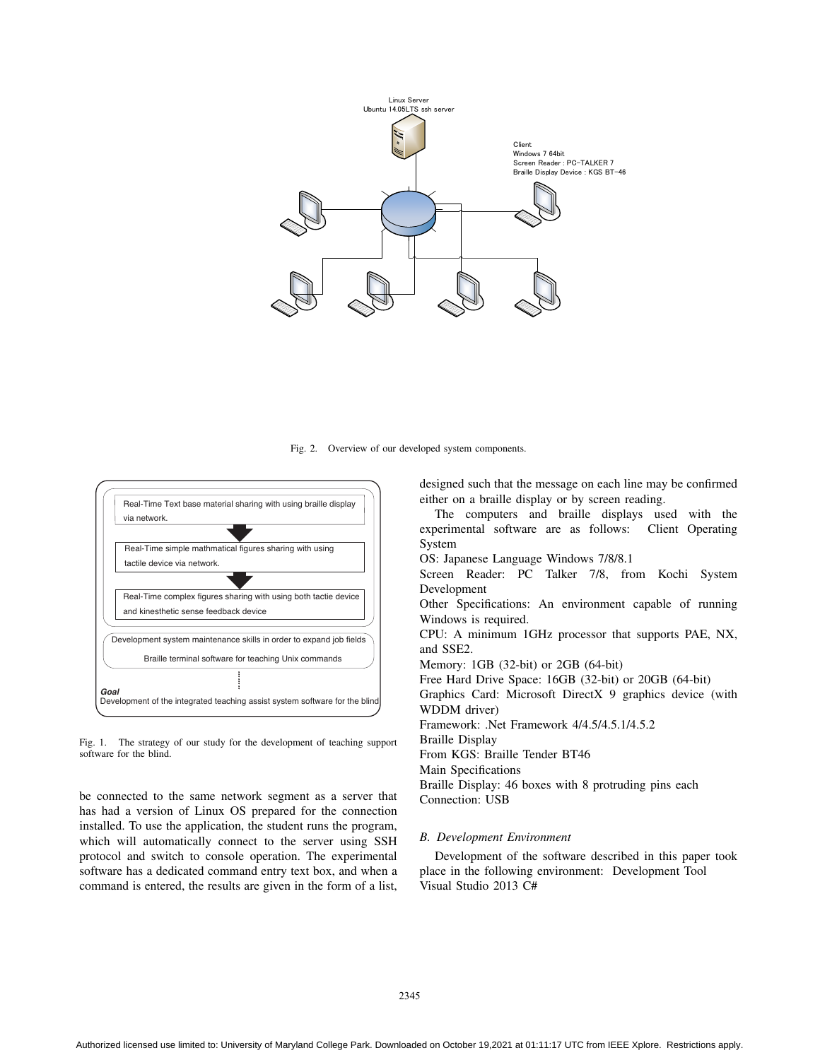

Fig. 2. Overview of our developed system components.



Fig. 1. The strategy of our study for the development of teaching support software for the blind.

be connected to the same network segment as a server that has had a version of Linux OS prepared for the connection installed. To use the application, the student runs the program, which will automatically connect to the server using SSH protocol and switch to console operation. The experimental software has a dedicated command entry text box, and when a command is entered, the results are given in the form of a list, designed such that the message on each line may be confirmed either on a braille display or by screen reading.

The computers and braille displays used with the experimental software are as follows: Client Operating System

OS: Japanese Language Windows 7/8/8.1

Screen Reader: PC Talker 7/8, from Kochi System Development

Other Specifications: An environment capable of running Windows is required.

CPU: A minimum 1GHz processor that supports PAE, NX, and SSE2.

Memory: 1GB (32-bit) or 2GB (64-bit)

Free Hard Drive Space: 16GB (32-bit) or 20GB (64-bit)

Graphics Card: Microsoft DirectX 9 graphics device (with WDDM driver)

Framework: .Net Framework 4/4.5/4.5.1/4.5.2

Braille Display

From KGS: Braille Tender BT46

Main Specifications

Braille Display: 46 boxes with 8 protruding pins each Connection: USB

Development of the software described in this paper took place in the following environment: Development Tool Visual Studio 2013 C#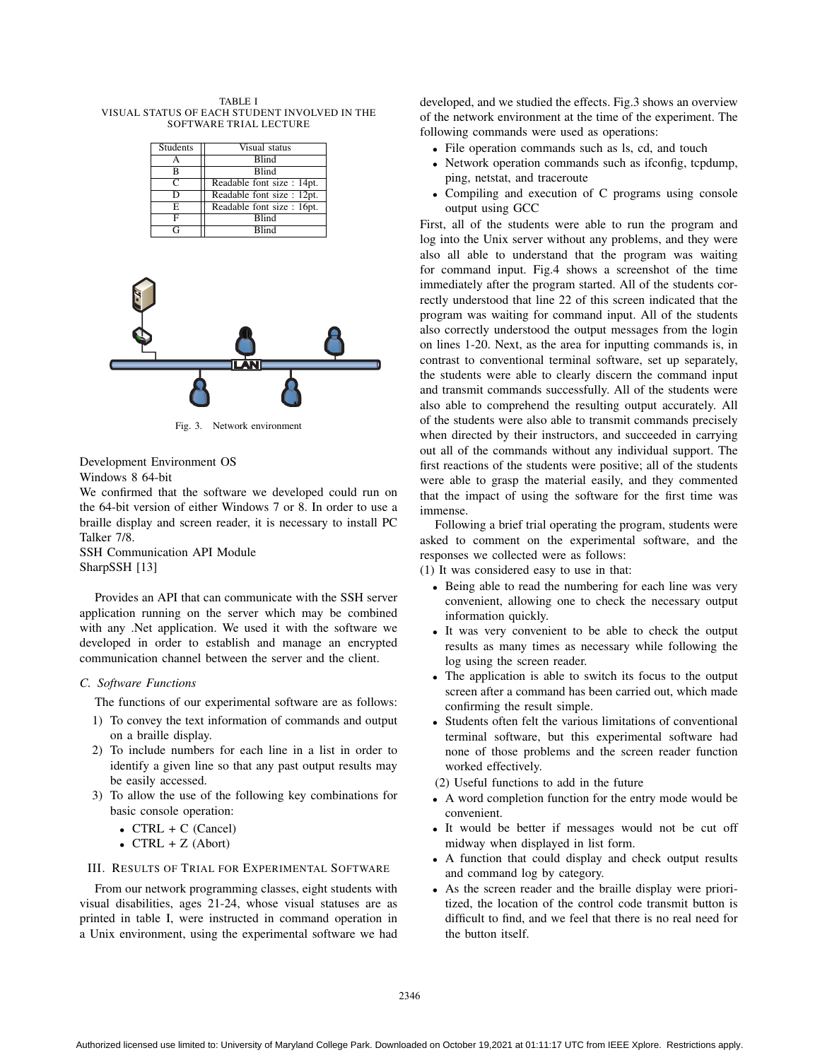TABLE I VISUAL STATUS OF EACH STUDENT INVOLVED IN THE SOFTWARE TRIAL LECTURE

| Students | Visual status             |
|----------|---------------------------|
| А        | <b>Blind</b>              |
| в        | <b>Blind</b>              |
| C        | Readable font size: 14pt. |
| D        | Readable font size: 12pt. |
| E        | Readable font size: 16pt. |
| F        | <b>Blind</b>              |
| G        | <b>Blind</b>              |



Fig. 3. Network environment

Development Environment OS Windows 8 64-bit

We confirmed that the software we developed could run on the 64-bit version of either Windows 7 or 8. In order to use a

braille display and screen reader, it is necessary to install PC Talker 7/8.

SSH Communication API Module SharpSSH [13]

Provides an API that can communicate with the SSH server application running on the server which may be combined with any .Net application. We used it with the software we developed in order to establish and manage an encrypted communication channel between the server and the client.

## C. Software Functions

The functions of our experimental software are as follows:

- 1) To convey the text information of commands and output on a braille display.
- 2) To include numbers for each line in a list in order to identify a given line so that any past output results may be easily accessed.
- 3) To allow the use of the following key combinations for basic console operation:
	- CTRL + C (Cancel)
	- CTRL  $+ Z$  (Abort)

## III. RESULTS OF TRIAL FOR EXPERIMENTAL SOFTWARE

From our network programming classes, eight students with visual disabilities, ages 21-24, whose visual statuses are as printed in table I, were instructed in command operation in a Unix environment, using the experimental software we had

developed, and we studied the effects. Fig.3 shows an overview of the network environment at the time of the experiment. The following commands were used as operations:

- File operation commands such as ls, cd, and touch
- Network operation commands such as ifconfig, tcpdump, ping, netstat, and traceroute
- Compiling and execution of C programs using console output using GCC

First, all of the students were able to run the program and log into the Unix server without any problems, and they were also all able to understand that the program was waiting for command input. Fig.4 shows a screenshot of the time immediately after the program started. All of the students correctly understood that line 22 of this screen indicated that the program was waiting for command input. All of the students also correctly understood the output messages from the login on lines 1-20. Next, as the area for inputting commands is, in contrast to conventional terminal software, set up separately, the students were able to clearly discern the command input and transmit commands successfully. All of the students were also able to comprehend the resulting output accurately. All of the students were also able to transmit commands precisely when directed by their instructors, and succeeded in carrying out all of the commands without any individual support. The first reactions of the students were positive; all of the students were able to grasp the material easily, and they commented that the impact of using the software for the first time was immense.

Following a brief trial operating the program, students were asked to comment on the experimental software, and the responses we collected were as follows:

(1) It was considered easy to use in that:

- Being able to read the numbering for each line was very convenient, allowing one to check the necessary output information quickly.
- It was very convenient to be able to check the output results as many times as necessary while following the log using the screen reader.
- The application is able to switch its focus to the output screen after a command has been carried out, which made confirming the result simple.
- Students often felt the various limitations of conventional terminal software, but this experimental software had none of those problems and the screen reader function worked effectively.

(2) Useful functions to add in the future

- A word completion function for the entry mode would be convenient.
- It would be better if messages would not be cut off midway when displayed in list form.
- A function that could display and check output results and command log by category.
- As the screen reader and the braille display were prioritized, the location of the control code transmit button is difficult to find, and we feel that there is no real need for the button itself.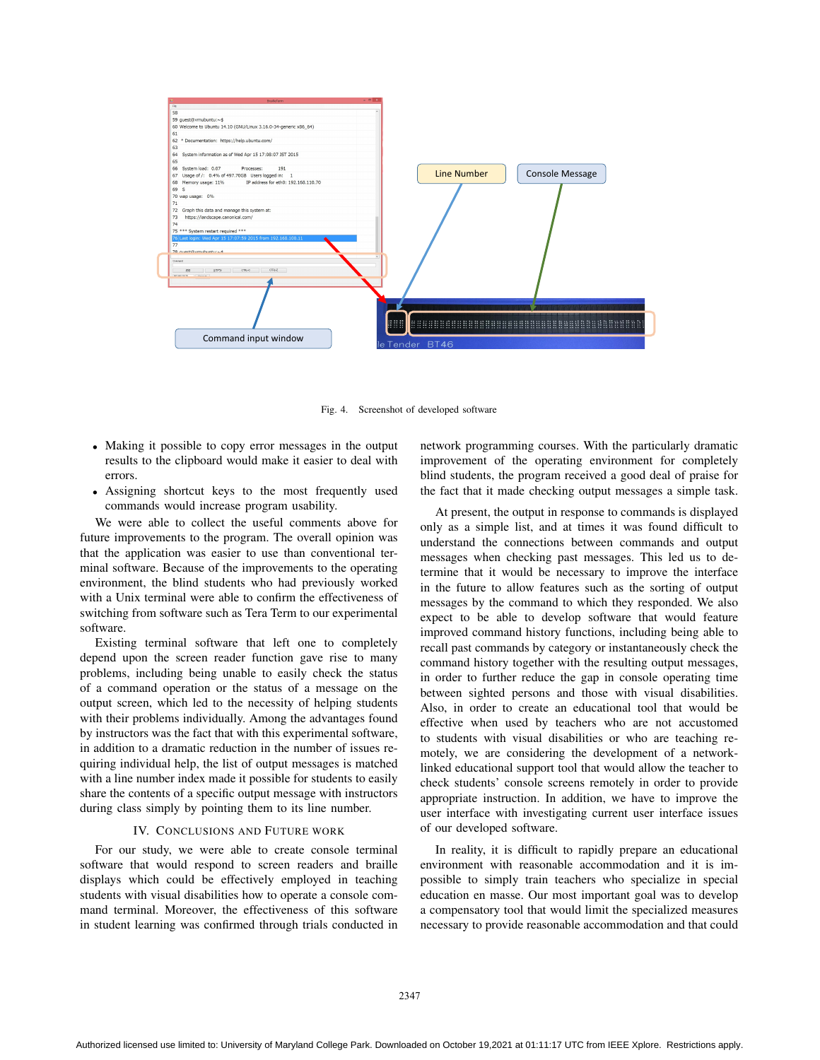

Fig. 4. Screenshot of developed software

- Making it possible to copy error messages in the output results to the clipboard would make it easier to deal with errors.
- Assigning shortcut keys to the most frequently used commands would increase program usability.

We were able to collect the useful comments above for future improvements to the program. The overall opinion was that the application was easier to use than conventional terminal software. Because of the improvements to the operating environment, the blind students who had previously worked with a Unix terminal were able to confirm the effectiveness of switching from software such as Tera Term to our experimental software.

Existing terminal software that left one to completely depend upon the screen reader function gave rise to many problems, including being unable to easily check the status of a command operation or the status of a message on the output screen, which led to the necessity of helping students with their problems individually. Among the advantages found by instructors was the fact that with this experimental software, in addition to a dramatic reduction in the number of issues requiring individual help, the list of output messages is matched with a line number index made it possible for students to easily share the contents of a specific output message with instructors during class simply by pointing them to its line number.

#### IV. CONCLUSIONS AND FUTURE WORK

For our study, we were able to create console terminal software that would respond to screen readers and braille displays which could be effectively employed in teaching students with visual disabilities how to operate a console command terminal. Moreover, the effectiveness of this software in student learning was confirmed through trials conducted in

network programming courses. With the particularly dramatic improvement of the operating environment for completely blind students, the program received a good deal of praise for the fact that it made checking output messages a simple task.

At present, the output in response to commands is displayed only as a simple list, and at times it was found difficult to understand the connections between commands and output messages when checking past messages. This led us to determine that it would be necessary to improve the interface in the future to allow features such as the sorting of output messages by the command to which they responded. We also expect to be able to develop software that would feature improved command history functions, including being able to recall past commands by category or instantaneously check the command history together with the resulting output messages, in order to further reduce the gap in console operating time between sighted persons and those with visual disabilities. Also, in order to create an educational tool that would be effective when used by teachers who are not accustomed to students with visual disabilities or who are teaching remotely, we are considering the development of a networklinked educational support tool that would allow the teacher to check students' console screens remotely in order to provide appropriate instruction. In addition, we have to improve the user interface with investigating current user interface issues of our developed software.

In reality, it is difficult to rapidly prepare an educational environment with reasonable accommodation and it is impossible to simply train teachers who specialize in special education en masse. Our most important goal was to develop a compensatory tool that would limit the specialized measures necessary to provide reasonable accommodation and that could